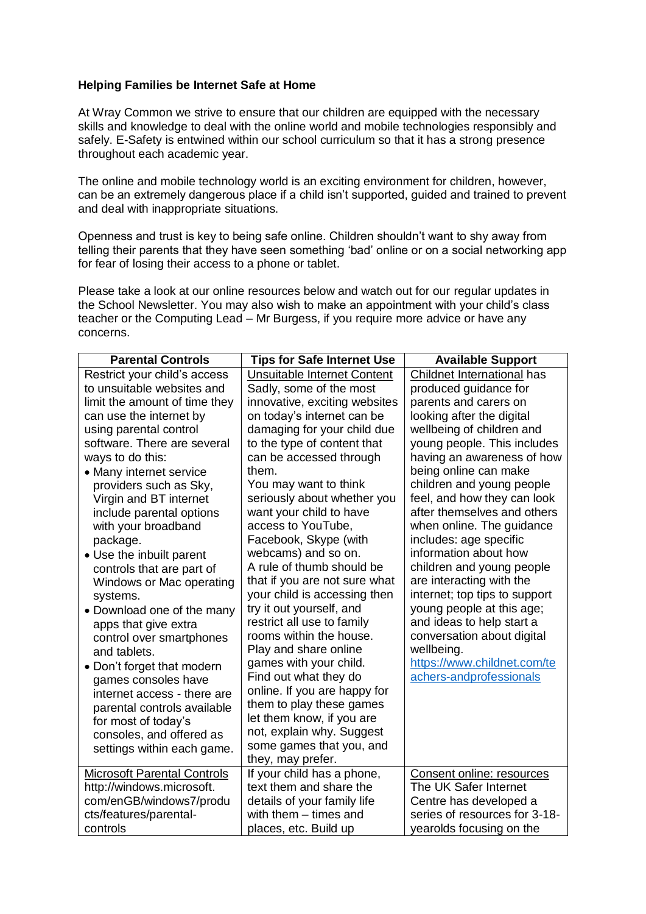## **Helping Families be Internet Safe at Home**

At Wray Common we strive to ensure that our children are equipped with the necessary skills and knowledge to deal with the online world and mobile technologies responsibly and safely. E-Safety is entwined within our school curriculum so that it has a strong presence throughout each academic year.

The online and mobile technology world is an exciting environment for children, however, can be an extremely dangerous place if a child isn't supported, guided and trained to prevent and deal with inappropriate situations.

Openness and trust is key to being safe online. Children shouldn't want to shy away from telling their parents that they have seen something 'bad' online or on a social networking app for fear of losing their access to a phone or tablet.

Please take a look at our online resources below and watch out for our regular updates in the School Newsletter. You may also wish to make an appointment with your child's class teacher or the Computing Lead – Mr Burgess, if you require more advice or have any concerns.

| <b>Parental Controls</b>           | <b>Tips for Safe Internet Use</b>                     | <b>Available Support</b>      |
|------------------------------------|-------------------------------------------------------|-------------------------------|
| Restrict your child's access       | Unsuitable Internet Content                           | Childnet International has    |
| to unsuitable websites and         | Sadly, some of the most                               | produced guidance for         |
| limit the amount of time they      | innovative, exciting websites                         | parents and carers on         |
| can use the internet by            | on today's internet can be                            | looking after the digital     |
| using parental control             | damaging for your child due                           | wellbeing of children and     |
| software. There are several        | to the type of content that                           | young people. This includes   |
| ways to do this:                   | can be accessed through                               | having an awareness of how    |
| • Many internet service            | them.                                                 | being online can make         |
| providers such as Sky,             | You may want to think                                 | children and young people     |
| Virgin and BT internet             | seriously about whether you                           | feel, and how they can look   |
| include parental options           | want your child to have                               | after themselves and others   |
| with your broadband                | access to YouTube,                                    | when online. The guidance     |
| package.                           | Facebook, Skype (with                                 | includes: age specific        |
| • Use the inbuilt parent           | webcams) and so on.                                   | information about how         |
| controls that are part of          | A rule of thumb should be                             | children and young people     |
| Windows or Mac operating           | that if you are not sure what                         | are interacting with the      |
| systems.                           | your child is accessing then                          | internet; top tips to support |
| • Download one of the many         | try it out yourself, and                              | young people at this age;     |
| apps that give extra               | restrict all use to family                            | and ideas to help start a     |
| control over smartphones           | rooms within the house.                               | conversation about digital    |
| and tablets.                       | Play and share online                                 | wellbeing.                    |
| • Don't forget that modern         | games with your child.                                | https://www.childnet.com/te   |
| games consoles have                | Find out what they do                                 | achers-andprofessionals       |
| internet access - there are        | online. If you are happy for                          |                               |
| parental controls available        | them to play these games                              |                               |
| for most of today's                | let them know, if you are                             |                               |
| consoles, and offered as           | not, explain why. Suggest<br>some games that you, and |                               |
| settings within each game.         | they, may prefer.                                     |                               |
| <b>Microsoft Parental Controls</b> | If your child has a phone,                            | Consent online: resources     |
| http://windows.microsoft.          | text them and share the                               | The UK Safer Internet         |
| com/enGB/windows7/produ            | details of your family life                           | Centre has developed a        |
| cts/features/parental-             | with them - times and                                 | series of resources for 3-18- |
| controls                           | places, etc. Build up                                 | yearolds focusing on the      |
|                                    |                                                       |                               |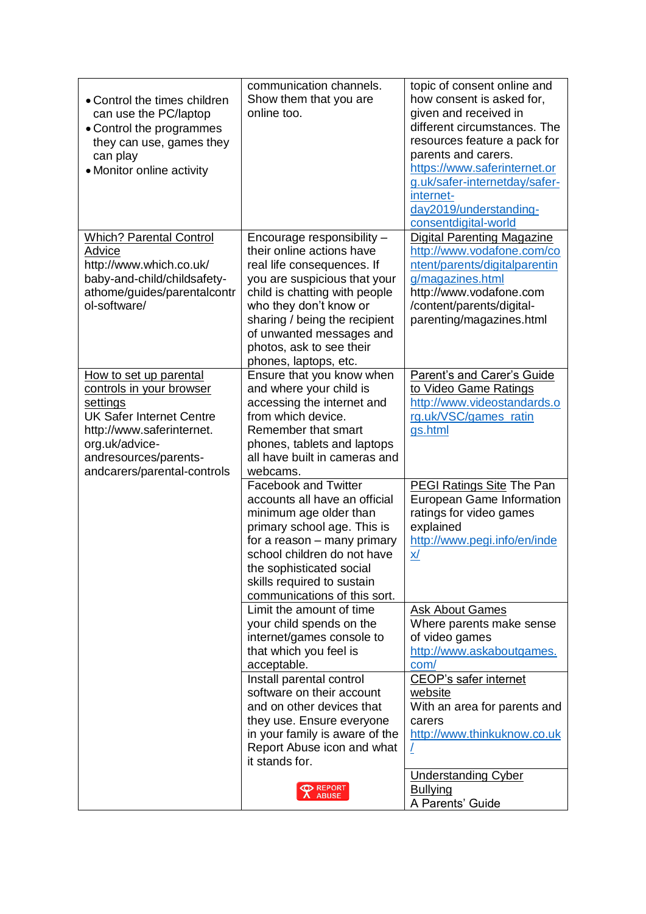| • Control the times children<br>can use the PC/laptop<br>• Control the programmes<br>they can use, games they<br>can play<br>• Monitor online activity                                                   | communication channels.<br>Show them that you are<br>online too.                                                                                                                                                                                                                                   | topic of consent online and<br>how consent is asked for,<br>given and received in<br>different circumstances. The<br>resources feature a pack for<br>parents and carers.<br>https://www.saferinternet.or<br>g.uk/safer-internetday/safer-<br>internet-<br>day2019/understanding-<br>consentdigital-world |
|----------------------------------------------------------------------------------------------------------------------------------------------------------------------------------------------------------|----------------------------------------------------------------------------------------------------------------------------------------------------------------------------------------------------------------------------------------------------------------------------------------------------|----------------------------------------------------------------------------------------------------------------------------------------------------------------------------------------------------------------------------------------------------------------------------------------------------------|
| <b>Which? Parental Control</b><br>Advice<br>http://www.which.co.uk/<br>baby-and-child/childsafety-<br>athome/guides/parentalcontr<br>ol-software/                                                        | Encourage responsibility -<br>their online actions have<br>real life consequences. If<br>you are suspicious that your<br>child is chatting with people<br>who they don't know or<br>sharing / being the recipient<br>of unwanted messages and<br>photos, ask to see their<br>phones, laptops, etc. | <b>Digital Parenting Magazine</b><br>http://www.vodafone.com/co<br>ntent/parents/digitalparentin<br>g/magazines.html<br>http://www.vodafone.com<br>/content/parents/digital-<br>parenting/magazines.html                                                                                                 |
| How to set up parental<br>controls in your browser<br>settings<br><b>UK Safer Internet Centre</b><br>http://www.saferinternet.<br>org.uk/advice-<br>andresources/parents-<br>andcarers/parental-controls | Ensure that you know when<br>and where your child is<br>accessing the internet and<br>from which device.<br>Remember that smart<br>phones, tablets and laptops<br>all have built in cameras and<br>webcams.                                                                                        | Parent's and Carer's Guide<br>to Video Game Ratings<br>http://www.videostandards.o<br>rg.uk/VSC/games_ratin<br>gs.html                                                                                                                                                                                   |
|                                                                                                                                                                                                          | <b>Facebook and Twitter</b><br>accounts all have an official<br>minimum age older than<br>primary school age. This is<br>for a reason – many primary<br>school children do not have<br>the sophisticated social<br>skills required to sustain<br>communications of this sort.                      | <b>PEGI Ratings Site The Pan</b><br><b>European Game Information</b><br>ratings for video games<br>explained<br>http://www.pegi.info/en/inde<br><u>x/</u>                                                                                                                                                |
|                                                                                                                                                                                                          | Limit the amount of time<br>your child spends on the<br>internet/games console to<br>that which you feel is<br>acceptable.                                                                                                                                                                         | <b>Ask About Games</b><br>Where parents make sense<br>of video games<br>http://www.askaboutgames.<br>com/                                                                                                                                                                                                |
|                                                                                                                                                                                                          | Install parental control<br>software on their account<br>and on other devices that<br>they use. Ensure everyone<br>in your family is aware of the<br>Report Abuse icon and what<br>it stands for.                                                                                                  | <b>CEOP's safer internet</b><br>website<br>With an area for parents and<br>carers<br>http://www.thinkuknow.co.uk<br>$\perp$                                                                                                                                                                              |
|                                                                                                                                                                                                          | <b>PREPORT</b>                                                                                                                                                                                                                                                                                     | <b>Understanding Cyber</b><br><b>Bullying</b><br>A Parents' Guide                                                                                                                                                                                                                                        |